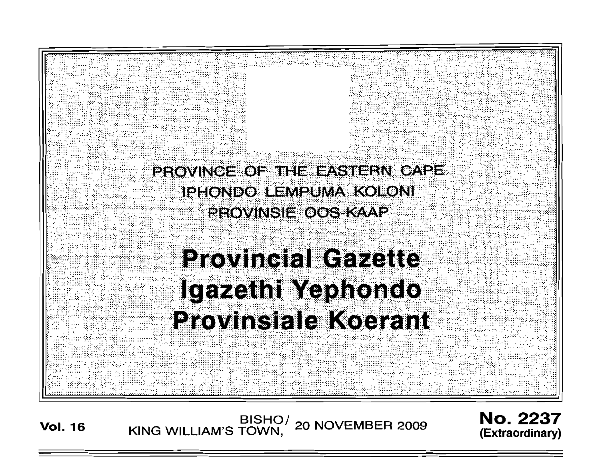

/BISHO<br>,KING WILLIAM'S TOWN 20 NOVEMBER 2009 **Vol. 16** 

**No. 2237** (Extraordinary)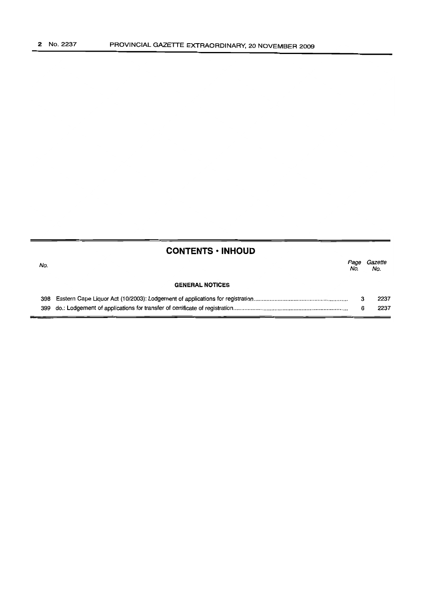|     | <b>CONTENTS • INHOUD</b> |             |                |
|-----|--------------------------|-------------|----------------|
| No. |                          | Page<br>No. | Gazette<br>No. |
|     | <b>GENERAL NOTICES</b>   |             |                |
| 398 |                          | з           | 2237           |
|     |                          | 6           | 2237           |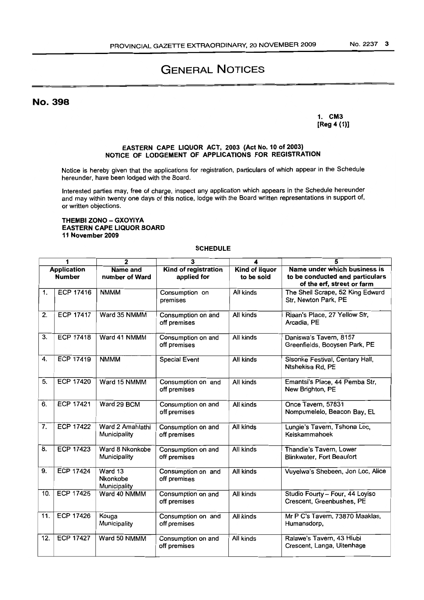# GENERAL NOTICES

No. 398

1. CM3 [Reg 4 (1)]

#### EASTERN CAPE LIQUOR ACT, 2003 (Act No. 10 of 2003) NOTICE OF LODGEMENT OF APPLICATIONS FOR REGISTRATION

Notice is hereby given that the applications for registration, particulars of which appear in the Schedule hereunder, have been lodged with the Board.

Interested parties may, free of charge, inspect any application which appears in the Schedule hereunder and may within twenty one days of this notice, lodge with the Board written representations in support of, or written objections.

#### THEMBI ZONO - GXOYIYA EASTERN CAPE LIQUOR BOARD 11 November 2009

### **SCHEDULE**

| 1                                   |                  | $\overline{2}$                      | 3                                   | 4                                   | 5                                                                                             |
|-------------------------------------|------------------|-------------------------------------|-------------------------------------|-------------------------------------|-----------------------------------------------------------------------------------------------|
| <b>Application</b><br><b>Number</b> |                  | Name and<br>number of Ward          | Kind of registration<br>applied for | <b>Kind of liquor</b><br>to be sold | Name under which business is<br>to be conducted and particulars<br>of the erf, street or farm |
| 1.                                  | <b>ECP 17416</b> | <b>NMMM</b>                         | Consumption on<br>premises          | All kinds                           | The Shell Scrape, 52 King Edward<br>Str, Newton Park, PE                                      |
| $\overline{2}$ .                    | <b>ECP 17417</b> | Ward 35 NMMM                        | Consumption on and<br>off premises  | All kinds                           | Riaan's Place, 27 Yellow Str,<br>Arcadia, PE                                                  |
| 3.                                  | <b>ECP 17418</b> | Ward 41 NMMM                        | Consumption on and<br>off premises  | All kinds                           | Daniswa's Tavern, 8157<br>Greenfields, Booysen Park, PE                                       |
| 4.                                  | <b>ECP 17419</b> | <b>NMMM</b>                         | <b>Special Event</b>                | All kinds                           | Sisonke Festival, Centary Hall,<br>Ntshekisa Rd, PE                                           |
| 5.                                  | <b>ECP 17420</b> | Ward 15 NMMM                        | Consumption on and<br>off premises  | All kinds                           | Emantsi's Place, 44 Pemba Str,<br>New Brighton, PE                                            |
| 6.                                  | <b>ECP 17421</b> | Ward 29 BCM                         | Consumption on and<br>off premises  | All kinds                           | Once Tavern, 57831<br>Nompumelelo, Beacon Bay, EL                                             |
| 7.                                  | <b>ECP 17422</b> | Ward 2 Amahlathi<br>Municipality    | Consumption on and<br>off premises  | All kinds                           | Lungie's Tavern, Tshona Loc,<br>Keiskammahoek                                                 |
| 8.                                  | <b>ECP 17423</b> | Ward 8 Nkonkobe<br>Municipality     | Consumption on and<br>off premises  | All kinds                           | Thandie's Tavern, Lower<br>Blinkwater, Fort Beaufort                                          |
| 9.                                  | <b>ECP 17424</b> | Ward 13<br>Nkonkobe<br>Municipality | Consumption on and<br>off premises  | All kinds                           | Vuyelwa's Shebeen, Jon Loc, Alice                                                             |
| 10.                                 | <b>ECP 17425</b> | Ward 40 NMMM                        | Consumption on and<br>off premises  | All kinds                           | Studio Fourty - Four, 44 Loyiso<br>Crescent, Greenbushes, PE                                  |
| 11.                                 | <b>ECP 17426</b> | Kouga<br>Municipality               | Consumption on and<br>off premises  | All kinds                           | Mr P C's Tavem, 73870 Maaklas,<br>Humansdorp,                                                 |
| 12.                                 | <b>ECP 17427</b> | Ward 50 NMMM                        | Consumption on and<br>off premises  | All kinds                           | Ralawe's Tavern, 43 Hlubi<br>Crescent, Langa, Uitenhage                                       |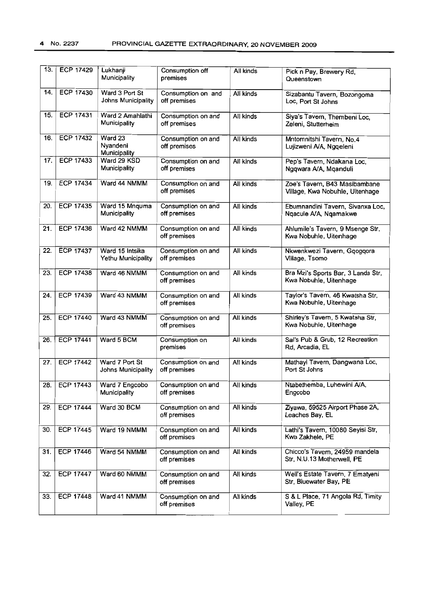| 13. | <b>ECP 17429</b> | Lukhanji<br>Municipality              | Consumption off<br>premises        | All kinds | Pick n Pay, Brewery Rd,<br>Queenstown                            |
|-----|------------------|---------------------------------------|------------------------------------|-----------|------------------------------------------------------------------|
| 14. | ECP 17430        | Ward 3 Port St<br>Johns Municipality  | Consumption on and<br>off premises | All kinds | Sizabantu Tavern, Bozongoma<br>Loc, Port St Johns                |
| 15. | <b>ECP 17431</b> | Ward 2 Amahlathi<br>Municipality      | Consumption on and<br>off premises | All kinds | Siya's Tavern, Thembeni Loc,<br>Zeleni, Stutterheim              |
| 16. | <b>ECP 17432</b> | Ward 23<br>Nyandeni<br>Municipality   | Consumption on and<br>off premises | All kinds | Mntomnitshi Tavern, No.4<br>Lujizweni A/A, Ngqeleni              |
| 17. | <b>ECP 17433</b> | Ward 29 KSD<br>Municipality           | Consumption on and<br>off premises | All kinds | Pep's Tavern, Ndakana Loc,<br>Ngqwara A/A, Mganduli              |
| 19. | <b>ECP 17434</b> | Ward 44 NMMM                          | Consumption on and<br>off premises | All kinds | Zoe's Tavern, B43 Masibambane<br>Village, Kwa Nobuhle, Uitenhage |
| 20. | <b>ECP 17435</b> | Ward 15 Mnquma<br>Municipality        | Consumption on and<br>off premises | All kinds | Ebumnandini Tavern, Sivanxa Loc,<br>Ngacule A/A, Ngamakwe        |
| 21. | <b>ECP 17436</b> | Ward 42 NMMM                          | Consumption on and<br>off premises | All kinds | Ahlumile's Tavern, 9 Msenge Str,<br>Kwa Nobuhle, Uitenhage       |
| 22. | <b>ECP 17437</b> | Ward 15 Intsika<br>Yethu Municipality | Consumption on and<br>off premises | All kinds | Nkwenkwezi Tavern, Gqogqora<br>Village, Tsomo                    |
| 23. | <b>ECP 17438</b> | Ward 46 NMMM                          | Consumption on and<br>off premises | All kinds | Bra Mzi's Sports Bar, 3 Landa Str,<br>Kwa Nobuhle, Uitenhage     |
| 24. | <b>ECP 17439</b> | Ward 43 NMMM                          | Consumption on and<br>off premises | All kinds | Taylor's Tavern, 46 Kwatsha Str,<br>Kwa Nobuhle, Uitenhage       |
| 25. | <b>ECP 17440</b> | Ward 43 NMMM                          | Consumption on and<br>off premises | All kinds | Shirley's Tavern, 5 Kwatsha Str,<br>Kwa Nobuhle, Uitenhage       |
| 26. | <b>ECP 17441</b> | Ward 5 BCM                            | Consumption on<br>premises         | All kinds | Sal's Pub & Grub, 12 Recreation<br>Rd, Arcadia, EL               |
| 27. | <b>ECP 17442</b> | Ward 7 Port St<br>Johns Municipality  | Consumption on and<br>off premises | All kinds | Mathayi Tavern, Dangwana Loc,<br>Port St Johns                   |
| 28. | <b>ECP 17443</b> | Ward 7 Engcobo<br>Municipality        | Consumption on and<br>off premises | All kinds | Ntabethemba, Luhewini A/A,<br>Engcobo                            |
| 29. | <b>ECP 17444</b> | Ward 30 BCM                           | Consumption on and<br>off premises | All kinds | Ziyawa, 59525 Airport Phase 2A,<br>Leaches Bay, EL               |
| 30. | <b>ECP 17445</b> | Ward 19 NMMM                          | Consumption on and<br>off premises | All kinds | Lathi's Tavern, 10080 Seyisi Str,<br>Kwa Zakhele, PE             |
| 31. | <b>ECP 17446</b> | Ward 54 NMMM                          | Consumption on and<br>off premises | All kinds | Chicco's Tavern, 24959 mandela<br>Str, N.U.13 Motherwell, PE     |
| 32. | <b>ECP 17447</b> | Ward 60 NMMM                          | Consumption on and<br>off premises | All kinds | Well's Estate Tavern, 7 Ematyeni<br>Str, Bluewater Bay, PE       |
| 33. | <b>ECP 17448</b> | Ward 41 NMMM                          | Consumption on and<br>off premises | All kinds | S & L Place, 71 Angola Rd, Timity<br>Valley, PE                  |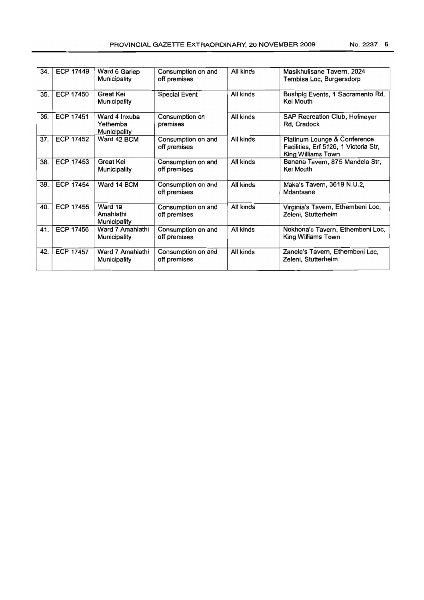| 34. | <b>ECP 17449</b> | Ward 6 Gariep<br>Municipality             | Consumption on and<br>off premises | All kinds | Masikhulisane Tavern, 2024<br>Tembisa Loc, Burgersdorp                                      |
|-----|------------------|-------------------------------------------|------------------------------------|-----------|---------------------------------------------------------------------------------------------|
| 35. | ECP 17450        | Great Kei<br>Municipality                 | <b>Special Event</b>               | All kinds | Bushpig Events, 1 Sacramento Rd,<br>Kei Mouth                                               |
| 36. | <b>ECP 17451</b> | Ward 4 Inxuba<br>Yethemba<br>Municipality | Consumption on<br>premises         | All kinds | SAP Recreation Club, Hofmeyer<br>Rd, Cradock                                                |
| 37. | <b>ECP 17452</b> | Ward 42 BCM                               | Consumption on and<br>off premises | All kinds | Platinum Lounge & Conference<br>Facilities, Erf 5126, 1 Victoria Str,<br>King Williams Town |
| 38. | ECP 17453        | Great Kei<br>Municipality                 | Consumption on and<br>off premises | All kinds | Banana Tavern, 875 Mandela Str,<br>Kei Mouth                                                |
| 39. | <b>ECP 17454</b> | Ward 14 BCM                               | Consumption on and<br>off premises | All kinds | Maka's Tavern, 3619 N.U.2,<br>Mdantsane                                                     |
| 40. | ECP 17455        | Ward 19<br>Amahlathi<br>Municipality      | Consumption on and<br>off premises | All kinds | Virginia's Tavern, Ethembeni Loc,<br>Zeleni, Stutterheim                                    |
| 41. | <b>ECP 17456</b> | Ward 7 Amahlathi<br>Municipality          | Consumption on and<br>off premises | All kinds | Nokhona's Tavern, Ethembeni Loc,<br>King Williams Town                                      |
| 42. | <b>ECP 17457</b> | Ward 7 Amahlathi<br>Municipality          | Consumption on and<br>off premises | All kinds | Zanele's Tavern, Ethembeni Loc,<br>Zeleni, Stutterheim                                      |